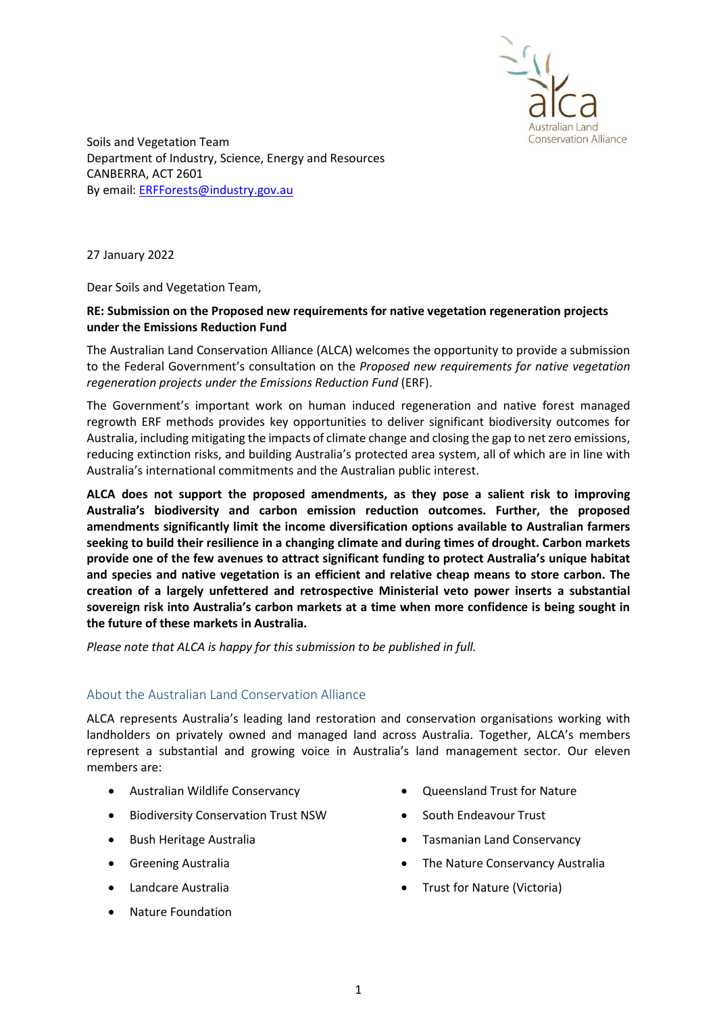

Soils and Vegetation Team Department of Industry, Science, Energy and Resources CANBERRA, ACT 2601 By email: ERFForests@industry.gov.au

27 January 2022

Dear Soils and Vegetation Team,

# RE: Submission on the Proposed new requirements for native vegetation regeneration projects under the Emissions Reduction Fund

The Australian Land Conservation Alliance (ALCA) welcomes the opportunity to provide a submission to the Federal Government's consultation on the Proposed new requirements for native vegetation regeneration projects under the Emissions Reduction Fund (ERF).

The Government's important work on human induced regeneration and native forest managed regrowth ERF methods provides key opportunities to deliver significant biodiversity outcomes for Australia, including mitigating the impacts of climate change and closing the gap to net zero emissions, reducing extinction risks, and building Australia's protected area system, all of which are in line with Australia's international commitments and the Australian public interest.

ALCA does not support the proposed amendments, as they pose a salient risk to improving Australia's biodiversity and carbon emission reduction outcomes. Further, the proposed amendments significantly limit the income diversification options available to Australian farmers seeking to build their resilience in a changing climate and during times of drought. Carbon markets provide one of the few avenues to attract significant funding to protect Australia's unique habitat and species and native vegetation is an efficient and relative cheap means to store carbon. The creation of a largely unfettered and retrospective Ministerial veto power inserts a substantial sovereign risk into Australia's carbon markets at a time when more confidence is being sought in the future of these markets in Australia.

Please note that ALCA is happy for this submission to be published in full.

# About the Australian Land Conservation Alliance

ALCA represents Australia's leading land restoration and conservation organisations working with landholders on privately owned and managed land across Australia. Together, ALCA's members represent a substantial and growing voice in Australia's land management sector. Our eleven members are:

- Australian Wildlife Conservancy
- **•** Biodiversity Conservation Trust NSW
- Bush Heritage Australia
- **•** Greening Australia
- Landcare Australia
- Nature Foundation
- Oueensland Trust for Nature
- South Endeavour Trust
- Tasmanian Land Conservancy
- The Nature Conservancy Australia
- Trust for Nature (Victoria)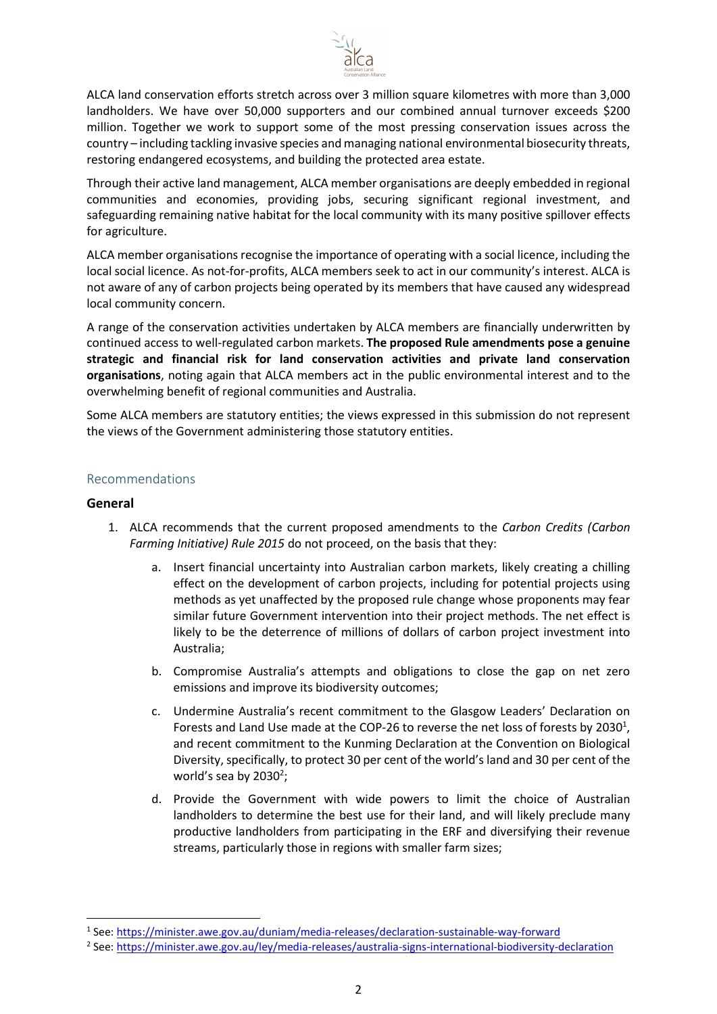

ALCA land conservation efforts stretch across over 3 million square kilometres with more than 3,000 landholders. We have over 50,000 supporters and our combined annual turnover exceeds \$200 million. Together we work to support some of the most pressing conservation issues across the country – including tackling invasive species and managing national environmental biosecurity threats, restoring endangered ecosystems, and building the protected area estate.

Through their active land management, ALCA member organisations are deeply embedded in regional communities and economies, providing jobs, securing significant regional investment, and safeguarding remaining native habitat for the local community with its many positive spillover effects for agriculture.

ALCA member organisations recognise the importance of operating with a social licence, including the local social licence. As not-for-profits, ALCA members seek to act in our community's interest. ALCA is not aware of any of carbon projects being operated by its members that have caused any widespread local community concern.

A range of the conservation activities undertaken by ALCA members are financially underwritten by continued access to well-regulated carbon markets. The proposed Rule amendments pose a genuine strategic and financial risk for land conservation activities and private land conservation organisations, noting again that ALCA members act in the public environmental interest and to the overwhelming benefit of regional communities and Australia.

Some ALCA members are statutory entities; the views expressed in this submission do not represent the views of the Government administering those statutory entities.

### Recommendations

### General

- 1. ALCA recommends that the current proposed amendments to the Carbon Credits (Carbon Farming Initiative) Rule 2015 do not proceed, on the basis that they:
	- a. Insert financial uncertainty into Australian carbon markets, likely creating a chilling effect on the development of carbon projects, including for potential projects using methods as yet unaffected by the proposed rule change whose proponents may fear similar future Government intervention into their project methods. The net effect is likely to be the deterrence of millions of dollars of carbon project investment into Australia;
	- b. Compromise Australia's attempts and obligations to close the gap on net zero emissions and improve its biodiversity outcomes;
	- c. Undermine Australia's recent commitment to the Glasgow Leaders' Declaration on Forests and Land Use made at the COP-26 to reverse the net loss of forests by 2030<sup>1</sup>, and recent commitment to the Kunming Declaration at the Convention on Biological Diversity, specifically, to protect 30 per cent of the world's land and 30 per cent of the world's sea by 2030 $2$ ;
	- d. Provide the Government with wide powers to limit the choice of Australian landholders to determine the best use for their land, and will likely preclude many productive landholders from participating in the ERF and diversifying their revenue streams, particularly those in regions with smaller farm sizes;

<sup>&</sup>lt;sup>1</sup> See: https://minister.awe.gov.au/duniam/media-releases/declaration-sustainable-way-forward

<sup>&</sup>lt;sup>2</sup> See: https://minister.awe.gov.au/ley/media-releases/australia-signs-international-biodiversity-declaration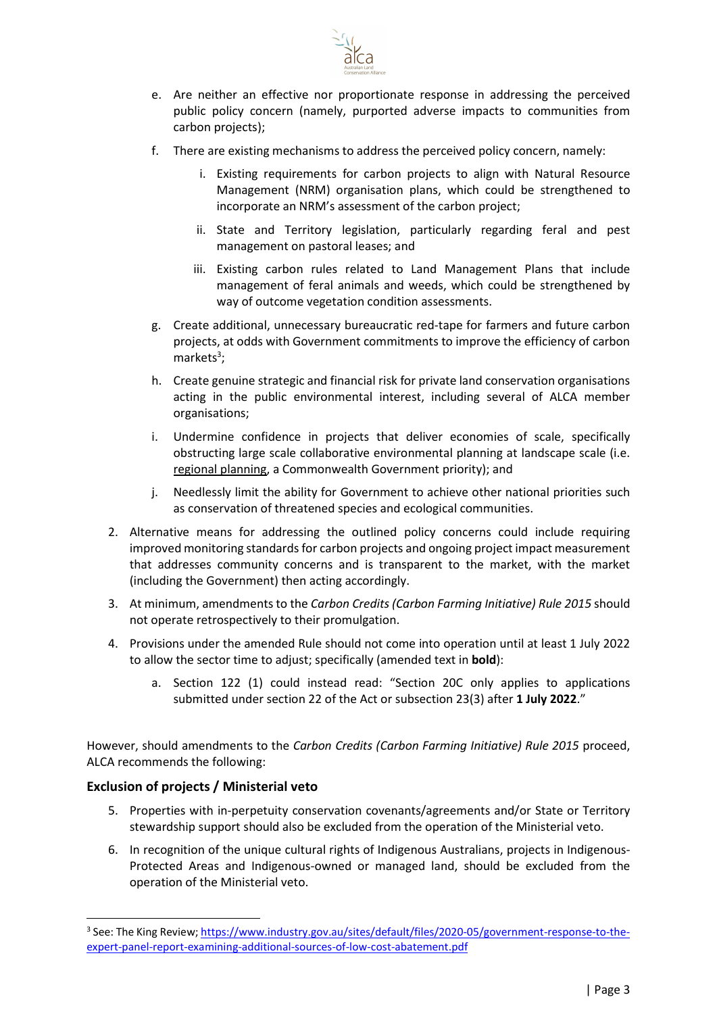

- e. Are neither an effective nor proportionate response in addressing the perceived public policy concern (namely, purported adverse impacts to communities from carbon projects);
- f. There are existing mechanisms to address the perceived policy concern, namely:
	- i. Existing requirements for carbon projects to align with Natural Resource Management (NRM) organisation plans, which could be strengthened to incorporate an NRM's assessment of the carbon project;
	- ii. State and Territory legislation, particularly regarding feral and pest management on pastoral leases; and
	- iii. Existing carbon rules related to Land Management Plans that include management of feral animals and weeds, which could be strengthened by way of outcome vegetation condition assessments.
- g. Create additional, unnecessary bureaucratic red-tape for farmers and future carbon projects, at odds with Government commitments to improve the efficiency of carbon markets<sup>3</sup>;
- h. Create genuine strategic and financial risk for private land conservation organisations acting in the public environmental interest, including several of ALCA member organisations;
- i. Undermine confidence in projects that deliver economies of scale, specifically obstructing large scale collaborative environmental planning at landscape scale (i.e. regional planning, a Commonwealth Government priority); and
- j. Needlessly limit the ability for Government to achieve other national priorities such as conservation of threatened species and ecological communities.
- 2. Alternative means for addressing the outlined policy concerns could include requiring improved monitoring standards for carbon projects and ongoing project impact measurement that addresses community concerns and is transparent to the market, with the market (including the Government) then acting accordingly.
- 3. At minimum, amendments to the Carbon Credits (Carbon Farming Initiative) Rule 2015 should not operate retrospectively to their promulgation.
- 4. Provisions under the amended Rule should not come into operation until at least 1 July 2022 to allow the sector time to adjust; specifically (amended text in **bold**):
	- a. Section 122 (1) could instead read: "Section 20C only applies to applications submitted under section 22 of the Act or subsection 23(3) after 1 July 2022."

However, should amendments to the Carbon Credits (Carbon Farming Initiative) Rule 2015 proceed, ALCA recommends the following:

# Exclusion of projects / Ministerial veto

- 5. Properties with in-perpetuity conservation covenants/agreements and/or State or Territory stewardship support should also be excluded from the operation of the Ministerial veto.
- 6. In recognition of the unique cultural rights of Indigenous Australians, projects in Indigenous-Protected Areas and Indigenous-owned or managed land, should be excluded from the operation of the Ministerial veto.

<sup>&</sup>lt;sup>3</sup> See: The King Review; https://www.industry.gov.au/sites/default/files/2020-05/government-response-to-theexpert-panel-report-examining-additional-sources-of-low-cost-abatement.pdf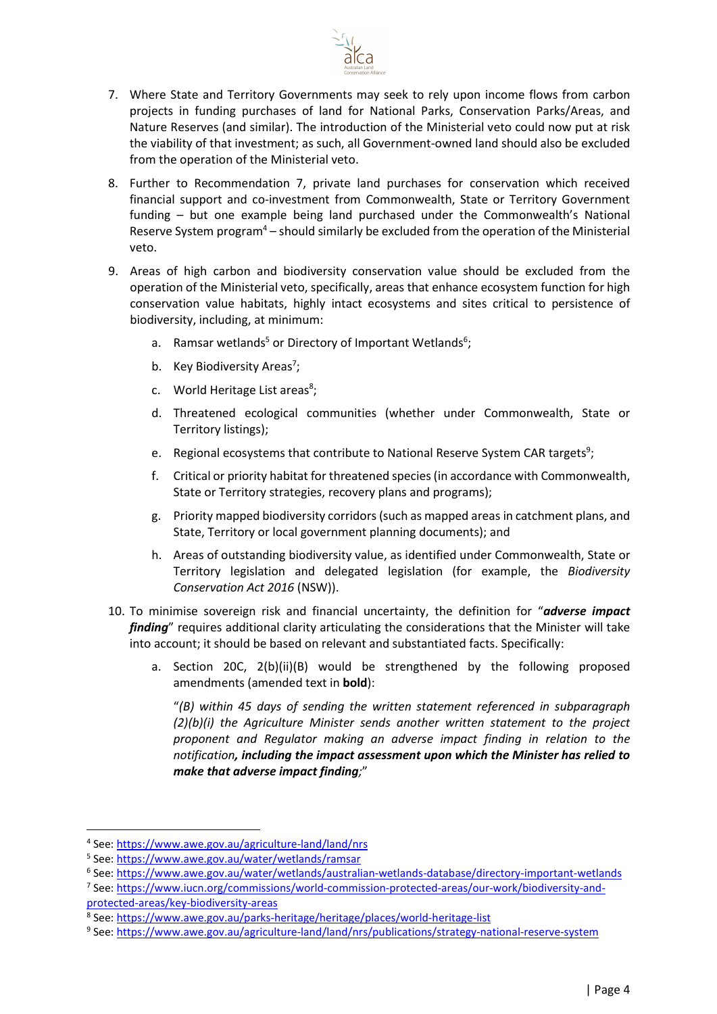

- 7. Where State and Territory Governments may seek to rely upon income flows from carbon projects in funding purchases of land for National Parks, Conservation Parks/Areas, and Nature Reserves (and similar). The introduction of the Ministerial veto could now put at risk the viability of that investment; as such, all Government-owned land should also be excluded from the operation of the Ministerial veto.
- 8. Further to Recommendation 7, private land purchases for conservation which received financial support and co-investment from Commonwealth, State or Territory Government funding – but one example being land purchased under the Commonwealth's National Reserve System program<sup>4</sup> - should similarly be excluded from the operation of the Ministerial veto.
- 9. Areas of high carbon and biodiversity conservation value should be excluded from the operation of the Ministerial veto, specifically, areas that enhance ecosystem function for high conservation value habitats, highly intact ecosystems and sites critical to persistence of biodiversity, including, at minimum:
	- a. Ramsar wetlands<sup>5</sup> or Directory of Important Wetlands<sup>6</sup>;
	- b. Key Biodiversity Areas<sup>7</sup>;
	- c. World Heritage List areas<sup>8</sup>;
	- d. Threatened ecological communities (whether under Commonwealth, State or Territory listings);
	- e. Regional ecosystems that contribute to National Reserve System CAR targets<sup>9</sup>;
	- f. Critical or priority habitat for threatened species (in accordance with Commonwealth, State or Territory strategies, recovery plans and programs);
	- g. Priority mapped biodiversity corridors (such as mapped areas in catchment plans, and State, Territory or local government planning documents); and
	- h. Areas of outstanding biodiversity value, as identified under Commonwealth, State or Territory legislation and delegated legislation (for example, the Biodiversity Conservation Act 2016 (NSW)).
- 10. To minimise sovereign risk and financial uncertainty, the definition for "adverse impact finding" requires additional clarity articulating the considerations that the Minister will take into account; it should be based on relevant and substantiated facts. Specifically:
	- a. Section 20C, 2(b)(ii)(B) would be strengthened by the following proposed amendments (amended text in bold):

"(B) within 45 days of sending the written statement referenced in subparagraph (2)(b)(i) the Agriculture Minister sends another written statement to the project proponent and Regulator making an adverse impact finding in relation to the notification, including the impact assessment upon which the Minister has relied to make that adverse impact finding;"

<sup>&</sup>lt;sup>4</sup> See: https://www.awe.gov.au/agriculture-land/land/nrs

<sup>&</sup>lt;sup>5</sup> See: https://www.awe.gov.au/water/wetlands/ramsar

<sup>&</sup>lt;sup>6</sup> See: https://www.awe.gov.au/water/wetlands/australian-wetlands-database/directory-important-wetlands

<sup>7</sup> See: https://www.iucn.org/commissions/world-commission-protected-areas/our-work/biodiversity-andprotected-areas/key-biodiversity-areas

<sup>&</sup>lt;sup>8</sup> See: https://www.awe.gov.au/parks-heritage/heritage/places/world-heritage-list

<sup>9</sup> See: https://www.awe.gov.au/agriculture-land/land/nrs/publications/strategy-national-reserve-system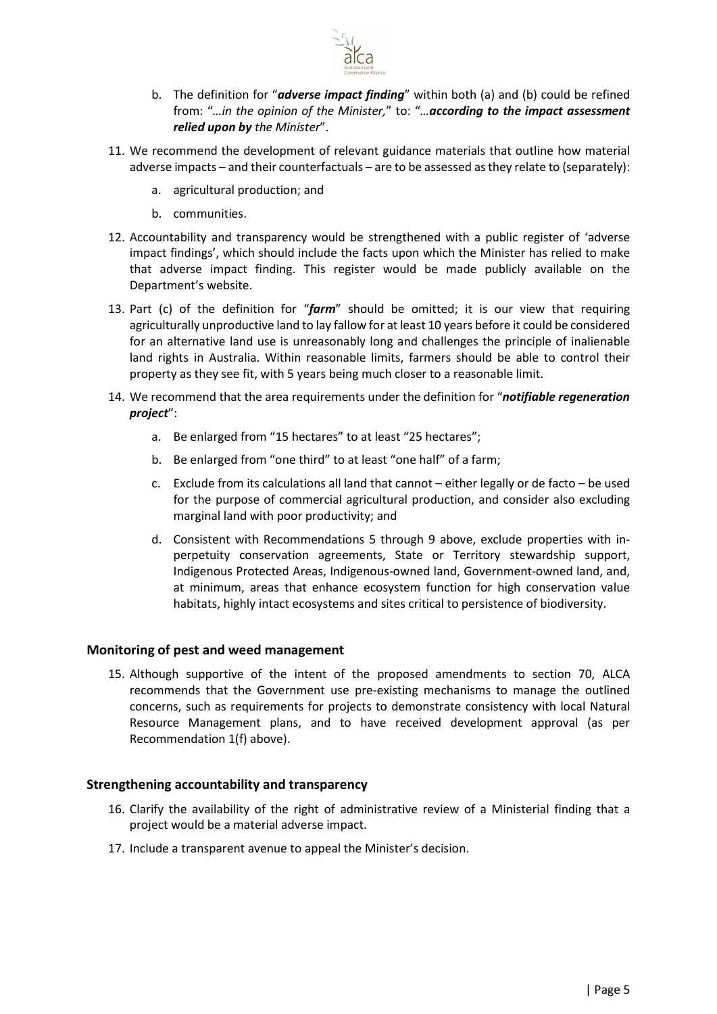

- b. The definition for "adverse impact finding" within both (a) and (b) could be refined from: "...in the opinion of the Minister," to: "... according to the impact assessment relied upon by the Minister".
- 11. We recommend the development of relevant guidance materials that outline how material adverse impacts – and their counterfactuals – are to be assessed as they relate to (separately):
	- a. agricultural production; and
	- b. communities.
- 12. Accountability and transparency would be strengthened with a public register of 'adverse impact findings', which should include the facts upon which the Minister has relied to make that adverse impact finding. This register would be made publicly available on the Department's website.
- 13. Part (c) of the definition for " $farm$ " should be omitted; it is our view that requiring agriculturally unproductive land to lay fallow for at least 10 years before it could be considered for an alternative land use is unreasonably long and challenges the principle of inalienable land rights in Australia. Within reasonable limits, farmers should be able to control their property as they see fit, with 5 years being much closer to a reasonable limit.
- 14. We recommend that the area requirements under the definition for "notifiable regeneration project":
	- a. Be enlarged from "15 hectares" to at least "25 hectares";
	- b. Be enlarged from "one third" to at least "one half" of a farm;
	- c. Exclude from its calculations all land that cannot either legally or de facto be used for the purpose of commercial agricultural production, and consider also excluding marginal land with poor productivity; and
	- d. Consistent with Recommendations 5 through 9 above, exclude properties with inperpetuity conservation agreements, State or Territory stewardship support, Indigenous Protected Areas, Indigenous-owned land, Government-owned land, and, at minimum, areas that enhance ecosystem function for high conservation value habitats, highly intact ecosystems and sites critical to persistence of biodiversity.

#### Monitoring of pest and weed management

15. Although supportive of the intent of the proposed amendments to section 70, ALCA recommends that the Government use pre-existing mechanisms to manage the outlined concerns, such as requirements for projects to demonstrate consistency with local Natural Resource Management plans, and to have received development approval (as per Recommendation 1(f) above).

### Strengthening accountability and transparency

- 16. Clarify the availability of the right of administrative review of a Ministerial finding that a project would be a material adverse impact.
- 17. Include a transparent avenue to appeal the Minister's decision.